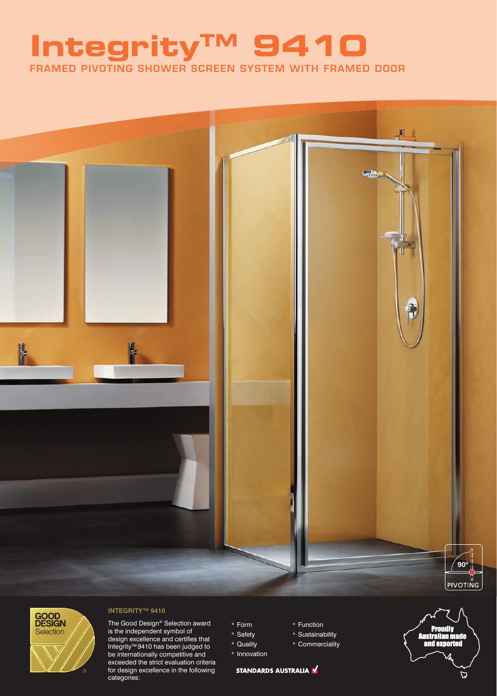## FRAMED PIVOTING SHOWER SCREEN SYSTEM WITH FRAMED DOOR **IntegrityTM 9410**





### **INTEGRITY™ 9410**

The Good Design® Selection award is the independent symbol of design excellence and certifies that Integrity<sup>™</sup> 9410 has been judged to be internationally competitive and exceeded the strict evaluation criteria for design excellence in the following categories:

- Form
- Safety
- Quality
- Innovation

STANDARDS AUSTRALIA

- Function • Sustainability
- Commerciality
- 

### $\overline{\omega}$

/<br>Australian made<br>and exported